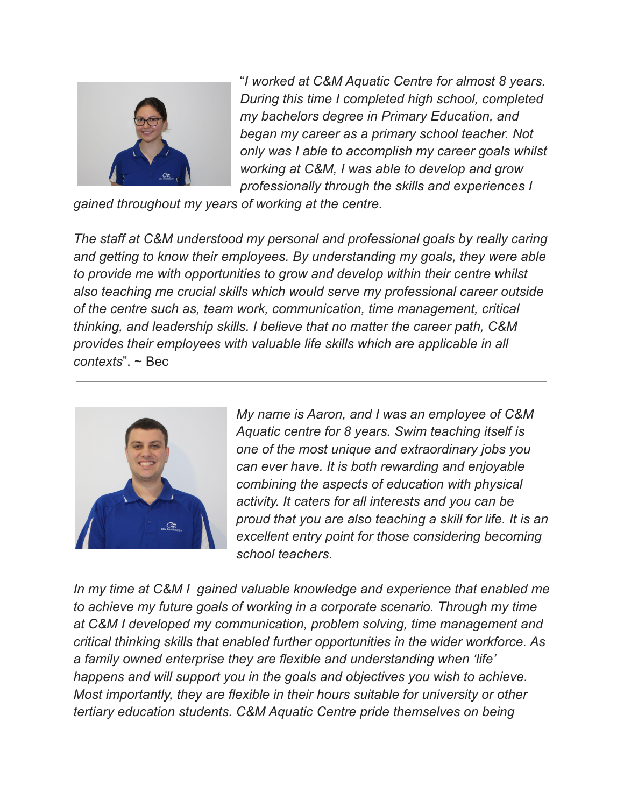

"*I worked at C&M Aquatic Centre for almost 8 years. During this time I completed high school, completed my bachelors degree in Primary Education, and began my career as a primary school teacher. Not only was I able to accomplish my career goals whilst working at C&M, I was able to develop and grow professionally through the skills and experiences I*

*gained throughout my years of working at the centre.*

*The staff at C&M understood my personal and professional goals by really caring and getting to know their employees. By understanding my goals, they were able to provide me with opportunities to grow and develop within their centre whilst also teaching me crucial skills which would serve my professional career outside of the centre such as, team work, communication, time management, critical thinking, and leadership skills. I believe that no matter the career path, C&M provides their employees with valuable life skills which are applicable in all contexts*". ~ Bec



*My name is Aaron, and I was an employee of C&M Aquatic centre for 8 years. Swim teaching itself is one of the most unique and extraordinary jobs you can ever have. It is both rewarding and enjoyable combining the aspects of education with physical activity. It caters for all interests and you can be proud that you are also teaching a skill for life. It is an excellent entry point for those considering becoming school teachers.*

*In my time at C&M I gained valuable knowledge and experience that enabled me to achieve my future goals of working in a corporate scenario. Through my time at C&M I developed my communication, problem solving, time management and critical thinking skills that enabled further opportunities in the wider workforce. As a family owned enterprise they are flexible and understanding when 'life' happens and will support you in the goals and objectives you wish to achieve. Most importantly, they are flexible in their hours suitable for university or other tertiary education students. C&M Aquatic Centre pride themselves on being*